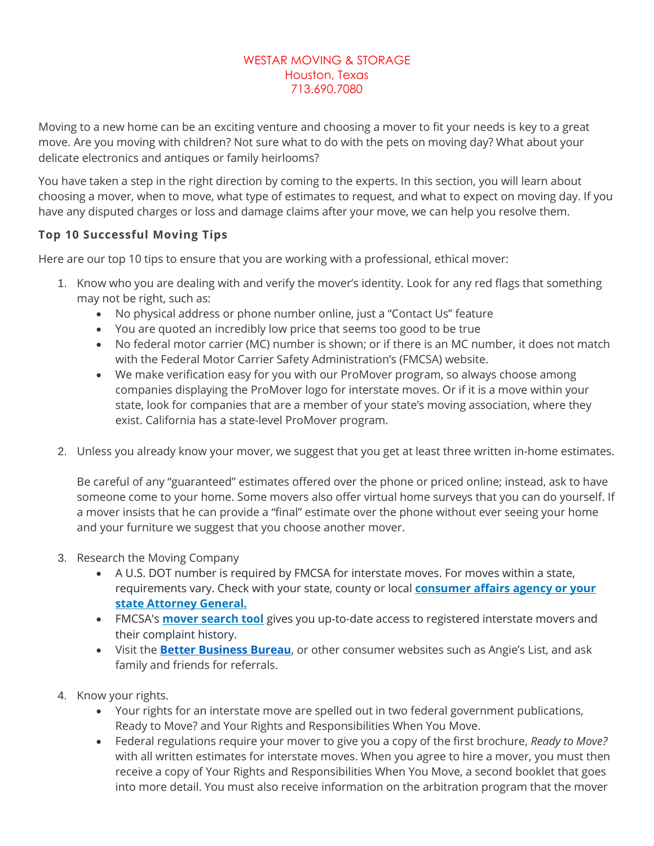## WESTAR MOVING & STORAGE Houston, Texas 713.690.7080

Moving to a new home can be an exciting venture and choosing a mover to fit your needs is key to a great move. Are you moving with children? Not sure what to do with the pets on moving day? What about your delicate electronics and antiques or family heirlooms?

You have taken a step in the right direction by coming to the experts. In this section, you will learn about choosing a mover, when to move, what type of estimates to request, and what to expect on moving day. If you have any disputed charges or loss and damage claims after your move, we can help you resolve them.

## **Top 10 Successful Moving Tips**

Here are our top 10 tips to ensure that you are working with a professional, ethical mover:

- 1. Know who you are dealing with and verify the mover's identity. Look for any red flags that something may not be right, such as:
	- No physical address or phone number online, just a "Contact Us" feature
	- You are quoted an incredibly low price that seems too good to be true
	- No federal motor carrier (MC) number is shown; or if there is an MC number, it does not match with the Federal Motor Carrier Safety Administration's (FMCSA) website.
	- We make verification easy for you with our ProMover program, so always choose among companies displaying the ProMover logo for interstate moves. Or if it is a move within your state, look for companies that are a member of your state's moving association, where they exist. California has a state-level ProMover program.
- 2. Unless you already know your mover, we suggest that you get at least three written in-home estimates.

Be careful of any "guaranteed" estimates offered over the phone or priced online; instead, ask to have someone come to your home. Some movers also offer virtual home surveys that you can do yourself. If a mover insists that he can provide a "final" estimate over the phone without ever seeing your home and your furniture we suggest that you choose another mover.

- 3. Research the Moving Company
	- A U.S. DOT number is required by FMCSA for interstate moves. For moves within a state, requirements vary. Check with your state, county or local **[consumer affairs agency or your](https://www.fmcsa.dot.gov/protect-your-move/consumer-information)  [state Attorney General.](https://www.fmcsa.dot.gov/protect-your-move/consumer-information)**
	- FMCSA's **[mover search tool](http://ai.fmcsa.dot.gov/hhg/search.asp)** gives you up-to-date access to registered interstate movers and their complaint history.
	- Visit the **[Better Business Bureau](https://www.bbb.org/consumer-complaints/file-a-complaint/get-started)**, or other consumer websites such as Angie's List, and ask family and friends for referrals.
- 4. Know your rights.
	- Your rights for an interstate move are spelled out in two federal government publications, Ready to Move? and Your Rights and Responsibilities When You Move.
	- Federal regulations require your mover to give you a copy of the first brochure, *Ready to Move?*  with all written estimates for interstate moves. When you agree to hire a mover, you must then receive a copy of Your Rights and Responsibilities When You Move, a second booklet that goes into more detail. You must also receive information on the arbitration program that the mover